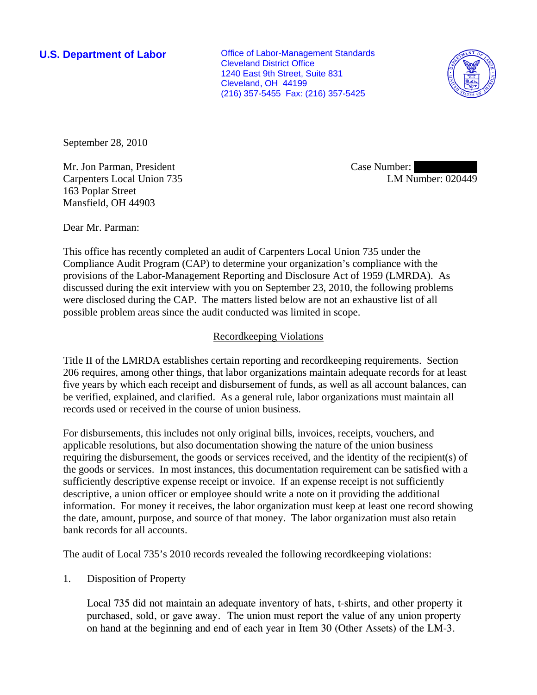**U.S. Department of Labor Conservative Conservative Conservative Conservative Conservative Conservative Conservative Conservative Conservative Conservative Conservative Conservative Conservative Conservative Conservative** Cleveland District Office 1240 East 9th Street, Suite 831 Cleveland, OH 44199 (216) 357-5455 Fax: (216) 357-5425



September 28, 2010

Mr. Jon Parman, President Carpenters Local Union 735 163 Poplar Street Mansfield, OH 44903

Case Number: LM Number: 020449

Dear Mr. Parman:

This office has recently completed an audit of Carpenters Local Union 735 under the Compliance Audit Program (CAP) to determine your organization's compliance with the provisions of the Labor-Management Reporting and Disclosure Act of 1959 (LMRDA). As discussed during the exit interview with you on September 23, 2010, the following problems were disclosed during the CAP. The matters listed below are not an exhaustive list of all possible problem areas since the audit conducted was limited in scope.

## Recordkeeping Violations

Title II of the LMRDA establishes certain reporting and recordkeeping requirements. Section 206 requires, among other things, that labor organizations maintain adequate records for at least five years by which each receipt and disbursement of funds, as well as all account balances, can be verified, explained, and clarified. As a general rule, labor organizations must maintain all records used or received in the course of union business.

For disbursements, this includes not only original bills, invoices, receipts, vouchers, and applicable resolutions, but also documentation showing the nature of the union business requiring the disbursement, the goods or services received, and the identity of the recipient(s) of the goods or services. In most instances, this documentation requirement can be satisfied with a sufficiently descriptive expense receipt or invoice. If an expense receipt is not sufficiently descriptive, a union officer or employee should write a note on it providing the additional information. For money it receives, the labor organization must keep at least one record showing the date, amount, purpose, and source of that money. The labor organization must also retain bank records for all accounts.

The audit of Local 735's 2010 records revealed the following recordkeeping violations:

1. Disposition of Property

Local 735 did not maintain an adequate inventory of hats, t-shirts, and other property it purchased, sold, or gave away. The union must report the value of any union property on hand at the beginning and end of each year in Item 30 (Other Assets) of the LM-3.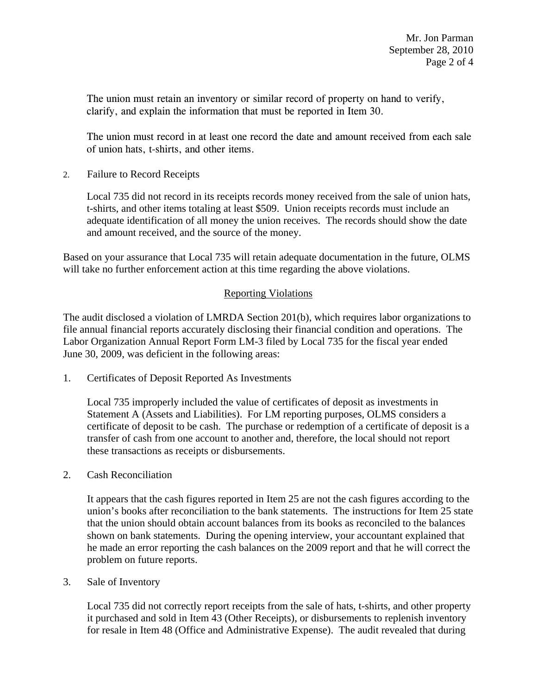The union must retain an inventory or similar record of property on hand to verify, clarify, and explain the information that must be reported in Item 30.

The union must record in at least one record the date and amount received from each sale of union hats, t-shirts, and other items.

2. Failure to Record Receipts

Local 735 did not record in its receipts records money received from the sale of union hats, t-shirts, and other items totaling at least \$509. Union receipts records must include an adequate identification of all money the union receives. The records should show the date and amount received, and the source of the money.

Based on your assurance that Local 735 will retain adequate documentation in the future, OLMS will take no further enforcement action at this time regarding the above violations.

## Reporting Violations

The audit disclosed a violation of LMRDA Section 201(b), which requires labor organizations to file annual financial reports accurately disclosing their financial condition and operations. The Labor Organization Annual Report Form LM-3 filed by Local 735 for the fiscal year ended June 30, 2009, was deficient in the following areas:

1. Certificates of Deposit Reported As Investments

Local 735 improperly included the value of certificates of deposit as investments in Statement A (Assets and Liabilities). For LM reporting purposes, OLMS considers a certificate of deposit to be cash. The purchase or redemption of a certificate of deposit is a transfer of cash from one account to another and, therefore, the local should not report these transactions as receipts or disbursements.

2. Cash Reconciliation

It appears that the cash figures reported in Item 25 are not the cash figures according to the union's books after reconciliation to the bank statements. The instructions for Item 25 state that the union should obtain account balances from its books as reconciled to the balances shown on bank statements. During the opening interview, your accountant explained that he made an error reporting the cash balances on the 2009 report and that he will correct the problem on future reports.

3. Sale of Inventory

Local 735 did not correctly report receipts from the sale of hats, t-shirts, and other property it purchased and sold in Item 43 (Other Receipts), or disbursements to replenish inventory for resale in Item 48 (Office and Administrative Expense). The audit revealed that during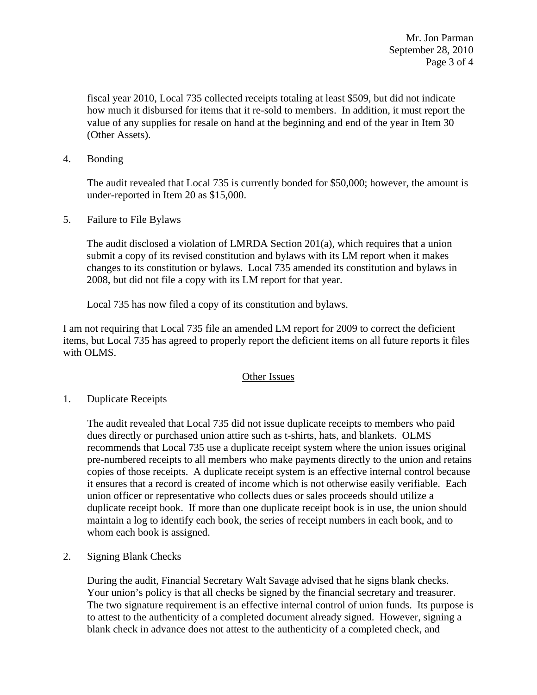fiscal year 2010, Local 735 collected receipts totaling at least \$509, but did not indicate how much it disbursed for items that it re-sold to members. In addition, it must report the value of any supplies for resale on hand at the beginning and end of the year in Item 30 (Other Assets).

4. Bonding

The audit revealed that Local 735 is currently bonded for \$50,000; however, the amount is under-reported in Item 20 as \$15,000.

5. Failure to File Bylaws

The audit disclosed a violation of LMRDA Section 201(a), which requires that a union submit a copy of its revised constitution and bylaws with its LM report when it makes changes to its constitution or bylaws. Local 735 amended its constitution and bylaws in 2008, but did not file a copy with its LM report for that year.

Local 735 has now filed a copy of its constitution and bylaws.

I am not requiring that Local 735 file an amended LM report for 2009 to correct the deficient items, but Local 735 has agreed to properly report the deficient items on all future reports it files with OLMS.

## Other Issues

1. Duplicate Receipts

The audit revealed that Local 735 did not issue duplicate receipts to members who paid dues directly or purchased union attire such as t-shirts, hats, and blankets. OLMS recommends that Local 735 use a duplicate receipt system where the union issues original pre-numbered receipts to all members who make payments directly to the union and retains copies of those receipts. A duplicate receipt system is an effective internal control because it ensures that a record is created of income which is not otherwise easily verifiable. Each union officer or representative who collects dues or sales proceeds should utilize a duplicate receipt book. If more than one duplicate receipt book is in use, the union should maintain a log to identify each book, the series of receipt numbers in each book, and to whom each book is assigned.

2. Signing Blank Checks

During the audit, Financial Secretary Walt Savage advised that he signs blank checks. Your union's policy is that all checks be signed by the financial secretary and treasurer. The two signature requirement is an effective internal control of union funds. Its purpose is to attest to the authenticity of a completed document already signed. However, signing a blank check in advance does not attest to the authenticity of a completed check, and